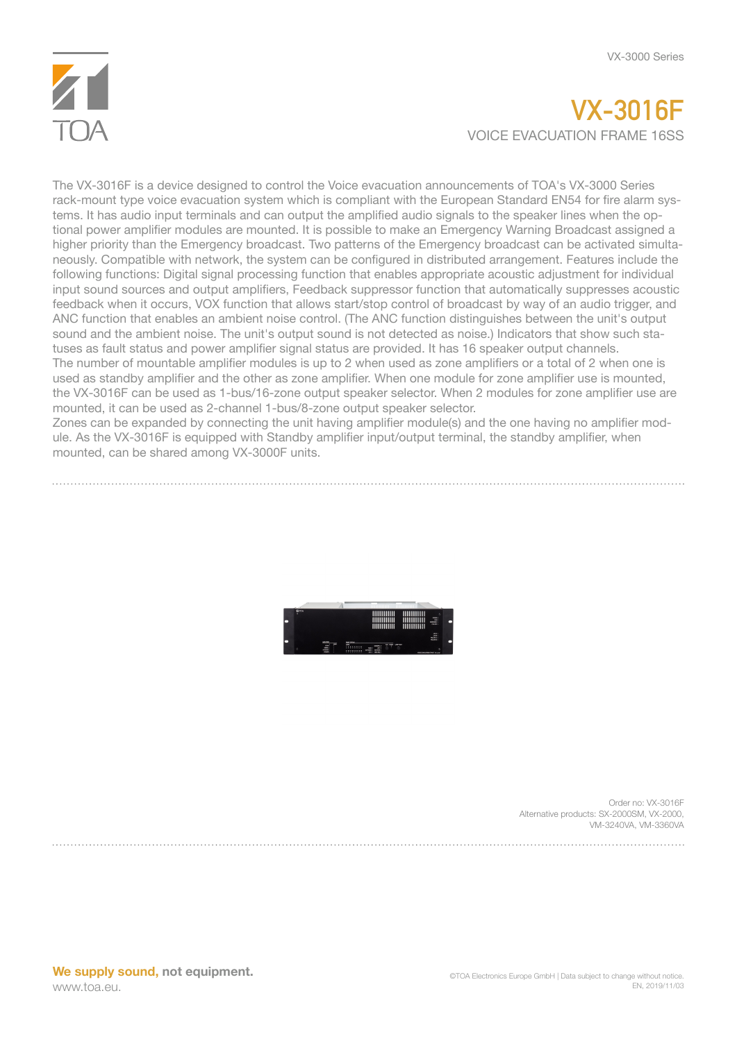

## **VX-3016F** VOICE EVACUATION FRAME 16SS

The VX-3016F is a device designed to control the Voice evacuation announcements of TOA's VX-3000 Series rack-mount type voice evacuation system which is compliant with the European Standard EN54 for fire alarm systems. It has audio input terminals and can output the amplified audio signals to the speaker lines when the optional power amplifier modules are mounted. It is possible to make an Emergency Warning Broadcast assigned a higher priority than the Emergency broadcast. Two patterns of the Emergency broadcast can be activated simultaneously. Compatible with network, the system can be configured in distributed arrangement. Features include the following functions: Digital signal processing function that enables appropriate acoustic adjustment for individual input sound sources and output amplifiers, Feedback suppressor function that automatically suppresses acoustic feedback when it occurs, VOX function that allows start/stop control of broadcast by way of an audio trigger, and ANC function that enables an ambient noise control. (The ANC function distinguishes between the unit's output sound and the ambient noise. The unit's output sound is not detected as noise.) Indicators that show such statuses as fault status and power amplifier signal status are provided. It has 16 speaker output channels. The number of mountable amplifier modules is up to 2 when used as zone amplifiers or a total of 2 when one is used as standby amplifier and the other as zone amplifier. When one module for zone amplifier use is mounted, the VX-3016F can be used as 1-bus/16-zone output speaker selector. When 2 modules for zone amplifier use are mounted, it can be used as 2-channel 1-bus/8-zone output speaker selector.

Zones can be expanded by connecting the unit having amplifier module(s) and the one having no amplifier module. As the VX-3016F is equipped with Standby amplifier input/output terminal, the standby amplifier, when mounted, can be shared among VX-3000F units.



Order no: VX-3016F Alternative products: SX-2000SM, VX-2000, VM-3240VA, VM-3360VA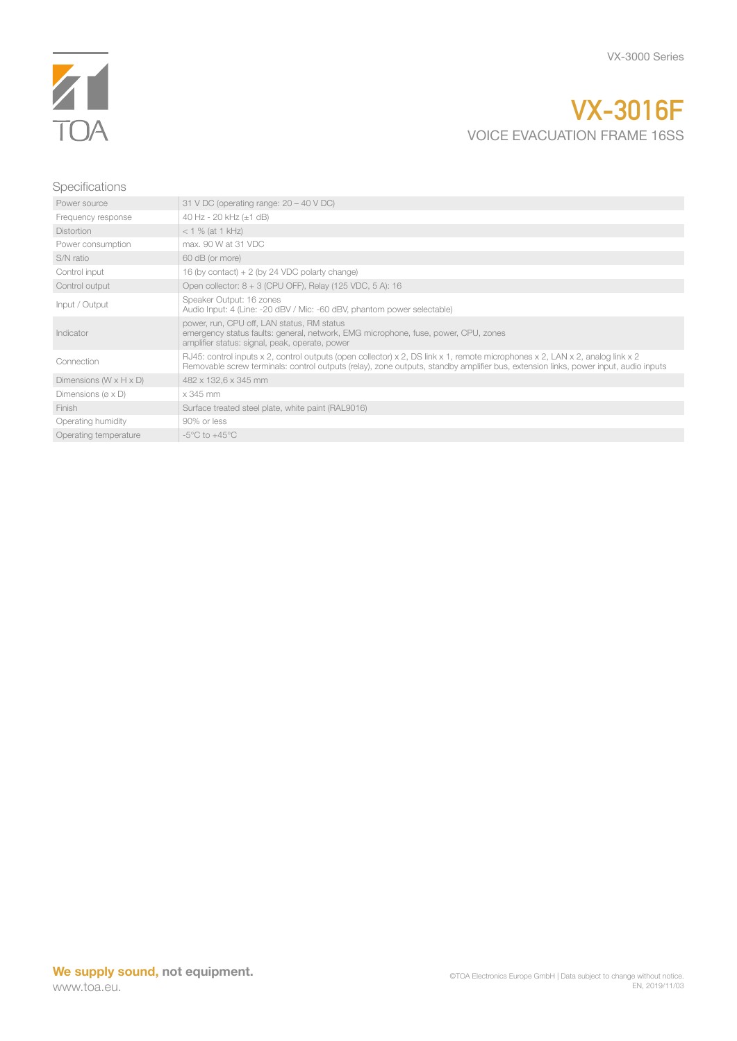

## **VX-3016F** VOICE EVACUATION FRAME 16SS

## Specifications

| Power source                          | 31 V DC (operating range: $20 - 40$ V DC)                                                                                                                                                                                                                            |
|---------------------------------------|----------------------------------------------------------------------------------------------------------------------------------------------------------------------------------------------------------------------------------------------------------------------|
| Frequency response                    | 40 Hz - 20 kHz (±1 dB)                                                                                                                                                                                                                                               |
| <b>Distortion</b>                     | $< 1 \%$ (at 1 kHz)                                                                                                                                                                                                                                                  |
| Power consumption                     | max, 90 W at 31 VDC                                                                                                                                                                                                                                                  |
| S/N ratio                             | 60 dB (or more)                                                                                                                                                                                                                                                      |
| Control input                         | 16 (by contact) $+ 2$ (by 24 VDC polarty change)                                                                                                                                                                                                                     |
| Control output                        | Open collector: $8 + 3$ (CPU OFF), Relay (125 VDC, 5 A): 16                                                                                                                                                                                                          |
| Input / Output                        | Speaker Output: 16 zones<br>Audio Input: 4 (Line: -20 dBV / Mic: -60 dBV, phantom power selectable)                                                                                                                                                                  |
| Indicator                             | power, run, CPU off, LAN status, RM status<br>emergency status faults: general, network, EMG microphone, fuse, power, CPU, zones<br>amplifier status: signal, peak, operate, power                                                                                   |
| Connection                            | RJ45: control inputs x 2, control outputs (open collector) x 2, DS link x 1, remote microphones x 2, LAN x 2, analog link x 2<br>Removable screw terminals: control outputs (relay), zone outputs, standby amplifier bus, extension links, power input, audio inputs |
| Dimensions $(W \times H \times D)$    | 482 x 132,6 x 345 mm                                                                                                                                                                                                                                                 |
| Dimensions ( $\varnothing \times D$ ) | x 345 mm                                                                                                                                                                                                                                                             |
| Finish                                | Surface treated steel plate, white paint (RAL9016)                                                                                                                                                                                                                   |
| Operating humidity                    | 90% or less                                                                                                                                                                                                                                                          |
| Operating temperature                 | $-5^{\circ}$ C to $+45^{\circ}$ C                                                                                                                                                                                                                                    |